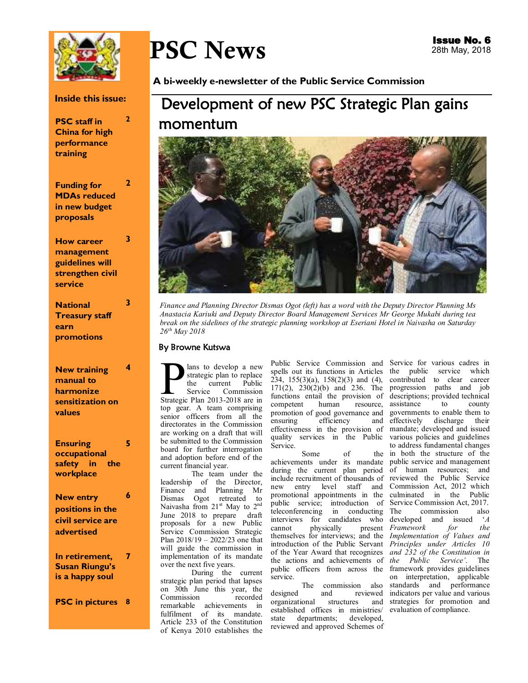

# PSC News

### **Inside this issue:**

**2** 

**3** 

**3** 

**4** 

**6** 

**PSC staff in China for high performance training** 

**Funding for MDAs reduced in new budget proposals 2** 

**How career management guidelines will strengthen civil service** 

**National Treasury staff earn promotions** 

### **New training manual to harmonize sensitization on values**

**Ensuring occupational safety in the workplace 5** 

**New entry positions in the civil service are advertised** 

**In retirement, Susan Riungu's is a happy soul 7** 

**PSC in pictures 8** 

**A bi-weekly e-newsletter of the Public Service Commission** 

# Development of new PSC Strategic Plan gains momentum



*Finance and Planning Director Dismas Ogot (left) has a word with the Deputy Director Planning Ms Anastacia Kariuki and Deputy Director Board Management Services Mr George Mukabi during tea break on the sidelines of the strategic planning workshop at Eseriani Hotel in Naivasha on Saturday 26th May 2018*

### By Browne Kutswa

**P** lans to develop a new<br>strategic plan to replace<br>the current Public<br>Strategic Plan 2013-2018 are in lans to develop a new strategic plan to replace<br>the current Public the current Public<br>Service Commission Commission top gear. A team comprising senior officers from all the directorates in the Commission are working on a draft that will be submitted to the Commission board for further interrogation and adoption before end of the current financial year.

The team under the leadership of the Director, Finance and Planning Mr Dismas Ogot retreated to Naivasha from 21<sup>st</sup> May to 2<sup>nd</sup> June 2018 to prepare draft proposals for a new Public Service Commission Strategic Plan 2018/19 – 2022/23 one that will guide the commission in implementation of its mandate over the next five years.

During the current strategic plan period that lapses on 30th June this year, the Commission remarkable achievements in fulfilment of its mandate. Article 233 of the Constitution of Kenya 2010 establishes the

Public Service Commission and Service for various cadres in spells out its functions in Articles the public service which 234, 155(3)(a), 158(2)(3) and (4), contributed to clear career 171(2), 230(2)(b) and 236. The progression paths and job functions entail the provision of descriptions; provided technical competent human resource, assistance to county promotion of good governance and governments to enable them to ensuring efficiency and effectiveness in the provision of mandate; developed and issued quality services in the Public Service.

Some of the achievements under its mandate public service and management during the current plan period of human resources; and include recruitment of thousands of reviewed the Public Service new entry level staff and Commission Act, 2012 which promotional appointments in the culminated in the Public public service; introduction of Service Commission Act, 2017. teleconferencing in conducting interviews for candidates who cannot physically themselves for interviews; and the *Implementation of Values and*  introduction of the Public Servant *Principles under Articles 10*  of the Year Award that recognizes *and 232 of the Constitution in*  the actions and achievements of *the Public Service'*. The public officers from across the framework provides guidelines service.

designed and reviewed organizational structures and established offices in ministries/ state departments; developed, reviewed and approved Schemes of

The commission also standards and performance effectively discharge their various policies and guidelines to address fundamental changes the in both the structure of the commission also<br>d and issued  $'$ developed and *issued Framework for the*  on interpretation, applicable indicators per value and various strategies for promotion and evaluation of compliance.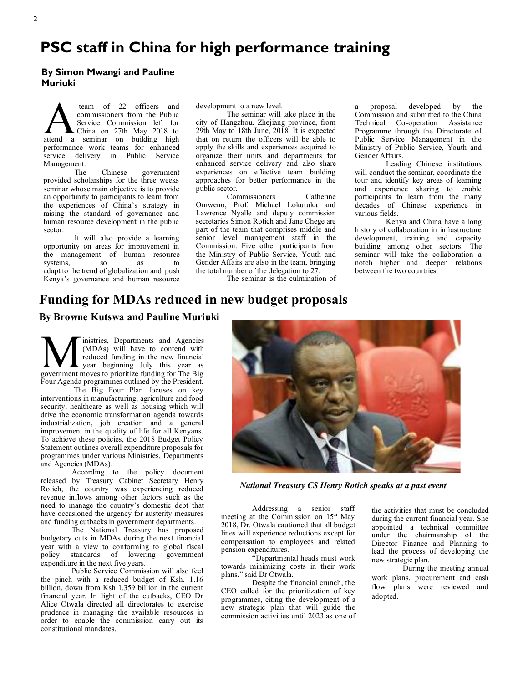# **PSC staff in China for high performance training**

### **By Simon Mwangi and Pauline Muriuki**

**A** team of 22 officers and commissioners from the Public Service Commission left for China on 27th May 2018 to attend a seminar on building high team of 22 officers and commissioners from the Public Service Commission left for China on 27th May 2018 to performance work teams for enhanced service delivery in Public Service Management.

The Chinese government provided scholarships for the three weeks seminar whose main objective is to provide an opportunity to participants to learn from the experiences of China's strategy in raising the standard of governance and human resource development in the public sector.

It will also provide a learning opportunity on areas for improvement in the management of human resource systems, so as to adapt to the trend of globalization and push Kenya's governance and human resource development to a new level.

The seminar will take place in the city of Hangzhou, Zhejiang province, from 29th May to 18th June, 2018. It is expected that on return the officers will be able to apply the skills and experiences acquired to organize their units and departments for enhanced service delivery and also share experiences on effective team building approaches for better performance in the public sector.

Commissioners Catherine Omweno, Prof. Michael Lokuruka and Lawrence Nyalle and deputy commission secretaries Simon Rotich and Jane Chege are part of the team that comprises middle and senior level management staff in the Commission. Five other participants from the Ministry of Public Service, Youth and Gender Affairs are also in the team, bringing the total number of the delegation to 27.

The seminar is the culmination of

proposal developed by the Commission and submitted to the China Technical Co-operation Assistance Programme through the Directorate of Public Service Management in the Ministry of Public Service, Youth and Gender Affairs.

Leading Chinese institutions will conduct the seminar, coordinate the tour and identify key areas of learning and experience sharing to enable participants to learn from the many decades of Chinese experience in various fields.

Kenya and China have a long history of collaboration in infrastructure development, training and capacity building among other sectors. The seminar will take the collaboration a notch higher and deepen relations between the two countries.

### **Funding for MDAs reduced in new budget proposals**

**By Browne Kutswa and Pauline Muriuki**

**M** inistries, Departments and Agencies (MDAs) will have to contend with reduced funding in the new financial year beginning July this year as government moves to prioritize funding for The Big inistries, Departments and Agencies (MDAs) will have to contend with reduced funding in the new financial year beginning July this year as Four Agenda programmes outlined by the President.

 The Big Four Plan focuses on key interventions in manufacturing, agriculture and food security, healthcare as well as housing which will drive the economic transformation agenda towards industrialization, job creation and a general improvement in the quality of life for all Kenyans. To achieve these policies, the 2018 Budget Policy Statement outlines overall expenditure proposals for programmes under various Ministries, Departments and Agencies (MDAs).

According to the policy document released by Treasury Cabinet Secretary Henry Rotich, the country was experiencing reduced revenue inflows among other factors such as the need to manage the country's domestic debt that have occasioned the urgency for austerity measures and funding cutbacks in government departments.

The National Treasury has proposed budgetary cuts in MDAs during the next financial year with a view to conforming to global fiscal policy standards of lowering government expenditure in the next five years.

Public Service Commission will also feel the pinch with a reduced budget of Ksh. 1.16 billion, down from Ksh 1.359 billion in the current financial year. In light of the cutbacks, CEO Dr Alice Otwala directed all directorates to exercise prudence in managing the available resources in order to enable the commission carry out its constitutional mandates.



*National Treasury CS Henry Rotich speaks at a past event*

Addressing a senior staff meeting at the Commission on 15<sup>th</sup> May 2018, Dr. Otwala cautioned that all budget lines will experience reductions except for compensation to employees and related pension expenditures.

"Departmental heads must work towards minimizing costs in their work plans," said Dr Otwala.

Despite the financial crunch, the CEO called for the prioritization of key programmes, citing the development of a new strategic plan that will guide the commission activities until 2023 as one of the activities that must be concluded during the current financial year. She appointed a technical committee under the chairmanship of the Director Finance and Planning to lead the process of developing the new strategic plan.

During the meeting annual work plans, procurement and cash flow plans were reviewed and adopted.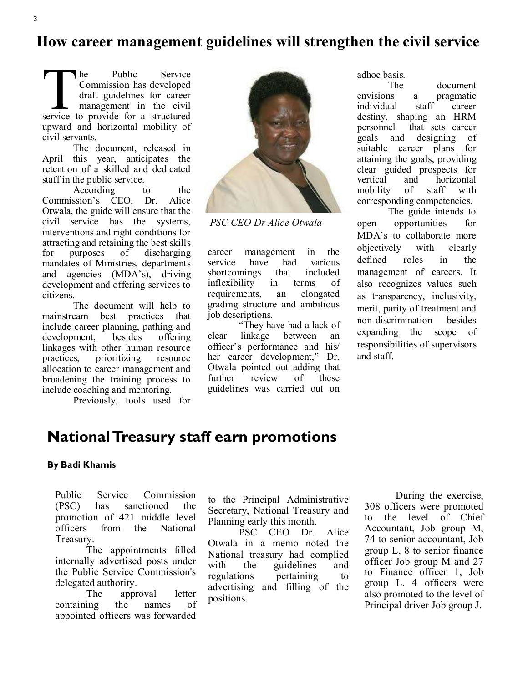# **How career management guidelines will strengthen the civil service**

The Public Service<br>Commission has developed<br>draft guidelines for career<br>management in the civil<br>service to provide for a structured he Public Service Commission has developed draft guidelines for career management in the civil upward and horizontal mobility of civil servants.

The document, released in April this year, anticipates the retention of a skilled and dedicated staff in the public service.

According to the Commission's CEO, Dr. Alice Otwala, the guide will ensure that the civil service has the systems, interventions and right conditions for attracting and retaining the best skills for purposes of discharging mandates of Ministries, departments and agencies (MDA's), driving development and offering services to citizens.

The document will help to mainstream best practices that include career planning, pathing and development, besides offering linkages with other human resource practices, prioritizing resource allocation to career management and broadening the training process to include coaching and mentoring.

Previously, tools used for



*PSC CEO Dr Alice Otwala*

career management in the service have had various<br>shortcomings that included shortcomings inflexibility in terms of<br>requirements, an elongated requirements, an grading structure and ambitious job descriptions.

"They have had a lack of clear linkage between an officer's performance and his/ her career development," Dr. Otwala pointed out adding that further review of these guidelines was carried out on adhoc basis.<br>The

The document<br>envisions a pragmatic a pragmatic individual staff career destiny, shaping an HRM personnel that sets career<br>goals and designing of designing of suitable career plans for attaining the goals, providing clear guided prospects for vertical and horizontal<br>mobility of staff with mobility of corresponding competencies.

The guide intends to open opportunities for MDA's to collaborate more objectively with clearly defined roles in the management of careers. It also recognizes values such as transparency, inclusivity, merit, parity of treatment and non-discrimination besides expanding the scope of responsibilities of supervisors and staff.

# **National Treasury staff earn promotions**

### **By Badi Khamis**

Public Service Commission (PSC) has sanctioned the promotion of 421 middle level officers from the National Treasury.

The appointments filled internally advertised posts under the Public Service Commission's delegated authority.

The approval letter containing the names of appointed officers was forwarded to the Principal Administrative Secretary, National Treasury and Planning early this month.

PSC CEO Dr. Alice Otwala in a memo noted the National treasury had complied<br>with the guidelines and guidelines and regulations pertaining to advertising and filling of the positions.

During the exercise, 308 officers were promoted to the level of Chief Accountant, Job group M, 74 to senior accountant, Job group L, 8 to senior finance officer Job group M and 27 to Finance officer 1, Job group L. 4 officers were also promoted to the level of Principal driver Job group J.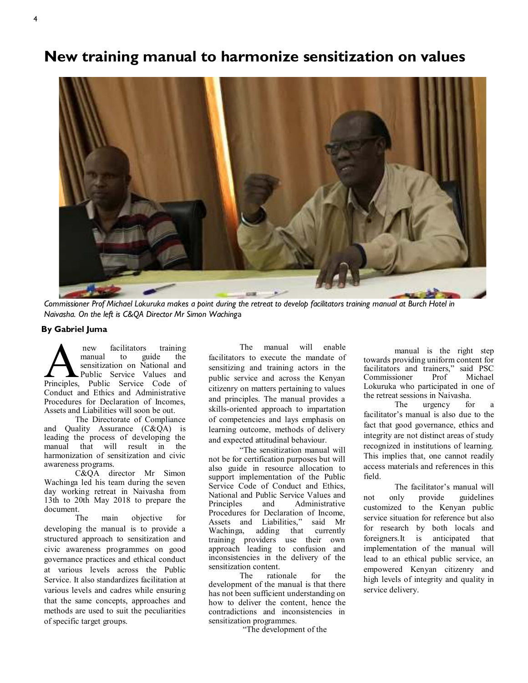# **IGUR**

**New training manual to harmonize sensitization on values** 

*Commissioner Prof Michael Lokuruka makes a point during the retreat to develop facilitators training manual at Burch Hotel in Naivasha. On the left is C&QA Director Mr Simon Waching*a

### **By Gabriel Juma**

new facilitators training<br>
manual to guide the<br>
sensitization on National and<br>
Principles, Public Service Code of new facilitators training manual to guide the sensitization on National and Public Service Values and Conduct and Ethics and Administrative Procedures for Declaration of Incomes Assets and Liabilities will soon be out.

The Directorate of Compliance and Quality Assurance (C&QA) is leading the process of developing the manual that will result in the harmonization of sensitization and civic awareness programs.

C&QA director Mr Simon Wachinga led his team during the seven day working retreat in Naivasha from 13th to 20th May 2018 to prepare the document.

main objective for developing the manual is to provide a structured approach to sensitization and civic awareness programmes on good governance practices and ethical conduct at various levels across the Public Service. It also standardizes facilitation at various levels and cadres while ensuring that the same concepts, approaches and methods are used to suit the peculiarities of specific target groups.

The manual will enable facilitators to execute the mandate of sensitizing and training actors in the public service and across the Kenyan citizenry on matters pertaining to values and principles. The manual provides a skills-oriented approach to impartation of competencies and lays emphasis on learning outcome, methods of delivery and expected attitudinal behaviour.

"The sensitization manual will not be for certification purposes but will also guide in resource allocation to support implementation of the Public Service Code of Conduct and Ethics, National and Public Service Values and and Administrative Procedures for Declaration of Income,<br>Assets and Liabilities." said Mr Assets and Liabilities," said Mr adding that training providers use their own approach leading to confusion and inconsistencies in the delivery of the sensitization content.

The rationale for the development of the manual is that there has not been sufficient understanding on how to deliver the content, hence the contradictions and inconsistencies in sensitization programmes.

"The development of the

manual is the right step towards providing uniform content for facilitators and trainers," said PSC Commissioner Prof Michael Lokuruka who participated in one of the retreat sessions in Naivasha.

The urgency for a facilitator's manual is also due to the fact that good governance, ethics and integrity are not distinct areas of study recognized in institutions of learning. This implies that, one cannot readily access materials and references in this field.

The facilitator's manual will not only provide guidelines customized to the Kenyan public service situation for reference but also for research by both locals and foreigners.It is anticipated that implementation of the manual will lead to an ethical public service, an empowered Kenyan citizenry and high levels of integrity and quality in service delivery.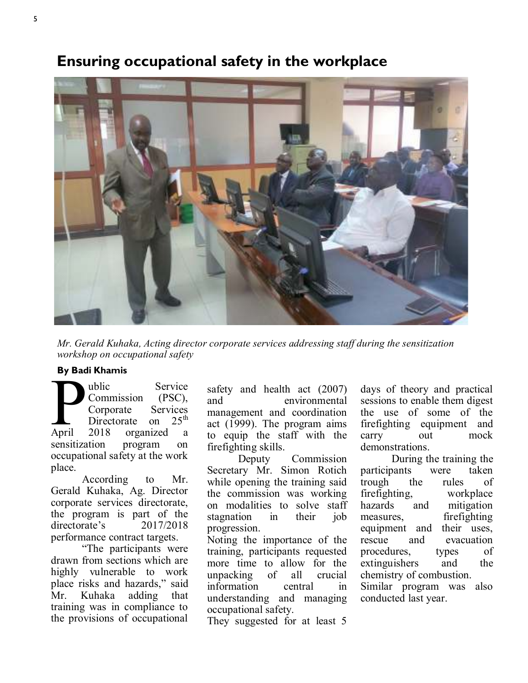# **Ensuring occupational safety in the workplace**



*Mr. Gerald Kuhaka, Acting director corporate services addressing staff during the sensitization workshop on occupational safety* 

### **By Badi Khamis**

 $\sum_{\text{April}}$ ublic Service Commission (PSC), Corporate Services<br>Directorate on 25<sup>th</sup> Directorate on<br>2018 organize April 2018 organized a sensitization program on occupational safety at the work place.

According to Mr. Gerald Kuhaka, Ag. Director corporate services directorate, the program is part of the directorate's 2017/2018 performance contract targets.

"The participants were drawn from sections which are highly vulnerable to work place risks and hazards," said Mr. Kuhaka adding that training was in compliance to the provisions of occupational

safety and health act (2007) and environmental management and coordination act (1999). The program aims to equip the staff with the firefighting skills.

Deputy Commission Secretary Mr. Simon Rotich while opening the training said the commission was working on modalities to solve staff stagnation in their job progression.

Noting the importance of the training, participants requested more time to allow for the unpacking of all crucial information central in understanding and managing occupational safety.

They suggested for at least 5

days of theory and practical sessions to enable them digest the use of some of the firefighting equipment and carry out mock demonstrations.

During the training the participants were taken trough the rules of firefighting, workplace hazards and mitigation measures, firefighting equipment and their uses, rescue and evacuation procedures, types of extinguishers and the chemistry of combustion. Similar program was also conducted last year.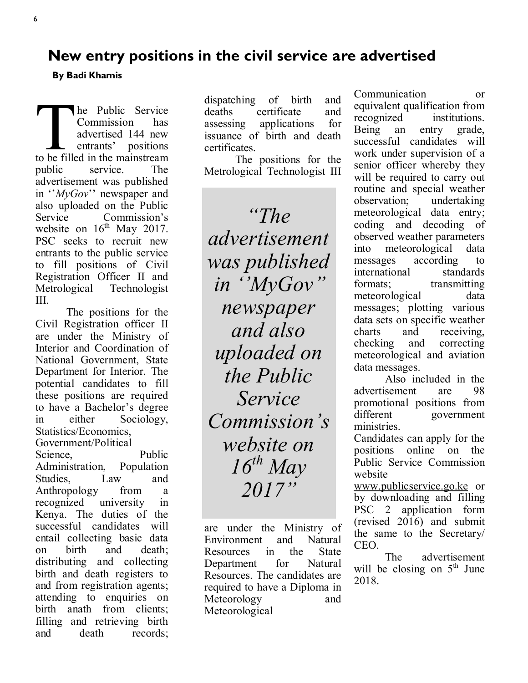# **New entry positions in the civil service are advertised**

**By Badi Khamis** 

The Public Service<br>
Commission has<br>
advertised 144 new<br>
entrants' positions<br>
to be filled in the mainstream he Public Service Commission has advertised 144 new entrants' positions public service. The advertisement was published in ''*MyGov*'' newspaper and also uploaded on the Public Service Commission's website on  $16<sup>th</sup>$  May 2017. PSC seeks to recruit new entrants to the public service to fill positions of Civil Registration Officer II and Metrological Technologist III.

The positions for the Civil Registration officer II are under the Ministry of Interior and Coordination of National Government, State Department for Interior. The potential candidates to fill these positions are required to have a Bachelor's degree in either Sociology, Statistics/Economics, Government/Political Science, Public Administration, Population Studies, Law and Anthropology from a recognized university in Kenya. The duties of the successful candidates will entail collecting basic data on birth and death; distributing and collecting birth and death registers to and from registration agents; attending to enquiries on birth anath from clients; filling and retrieving birth and death records;

dispatching of birth and deaths certificate and assessing applications for issuance of birth and death certificates.

The positions for the Metrological Technologist III

*"The advertisement was published in ''MyGov'' newspaper and also uploaded on the Public Service Commission' s website on 16th May 2017"*

are under the Ministry of Environment and Natural Resources in the State Department for Natural Resources. The candidates are required to have a Diploma in Meteorology and Meteorological

Communication or equivalent qualification from recognized institutions. Being an entry grade, successful candidates will work under supervision of a senior officer whereby they will be required to carry out routine and special weather observation; undertaking meteorological data entry; coding and decoding of observed weather parameters into meteorological data messages according to international standards formats; transmitting meteorological data messages; plotting various data sets on specific weather charts and receiving, checking and correcting meteorological and aviation data messages.

Also included in the advertisement are 98 promotional positions from different government ministries.

Candidates can apply for the positions online on the Public Service Commission website

[www.publicservice.go.ke o](http://www.publicservice.go.ke)r by downloading and filling PSC 2 application form (revised 2016) and submit the same to the Secretary/ CEO.

The advertisement will be closing on  $5<sup>th</sup>$  June 2018.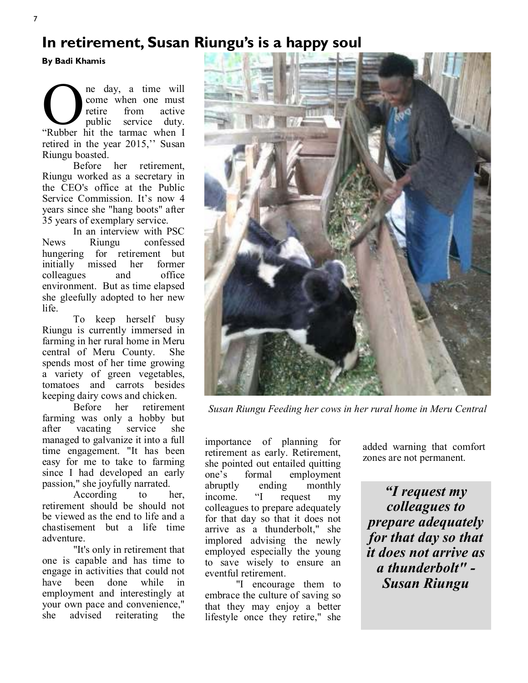# **In retirement, Susan Riungu's is a happy soul**

**By Badi Khamis** 

The day, a time will<br>
come when one must<br>
retire from active<br>
"Rubber hit the tarmac when I ne day, a time will come when one must retire from active public service duty. retired in the year 2015,'' Susan Riungu boasted.

Before her retirement, Riungu worked as a secretary in the CEO's office at the Public Service Commission. It's now 4 years since she "hang boots" after 35 years of exemplary service.

In an interview with PSC News Riungu confessed hungering for retirement but initially missed her former colleagues and office environment. But as time elapsed she gleefully adopted to her new life.

To keep herself busy Riungu is currently immersed in farming in her rural home in Meru<br>central of Meru County. She central of Meru County. spends most of her time growing a variety of green vegetables, tomatoes and carrots besides keeping dairy cows and chicken.

Before her retirement farming was only a hobby but after vacating service she managed to galvanize it into a full time engagement. "It has been easy for me to take to farming since I had developed an early passion," she joyfully narrated.

According to her, retirement should be should not be viewed as the end to life and a chastisement but a life time adventure.

"It's only in retirement that one is capable and has time to engage in activities that could not have been done while in employment and interestingly at your own pace and convenience," she advised reiterating the



*Susan Riungu Feeding her cows in her rural home in Meru Central*

importance of planning for retirement as early. Retirement, she pointed out entailed quitting one's formal employment<br>abruptly ending monthly abruptly ending monthly income. "I request my colleagues to prepare adequately for that day so that it does not arrive as a thunderbolt," she implored advising the newly employed especially the young to save wisely to ensure an eventful retirement.

"I encourage them to embrace the culture of saving so that they may enjoy a better lifestyle once they retire," she

added warning that comfort zones are not permanent.

*"I request my colleagues to prepare adequately for that day so that it does not arrive as a thunderbolt" - Susan Riungu*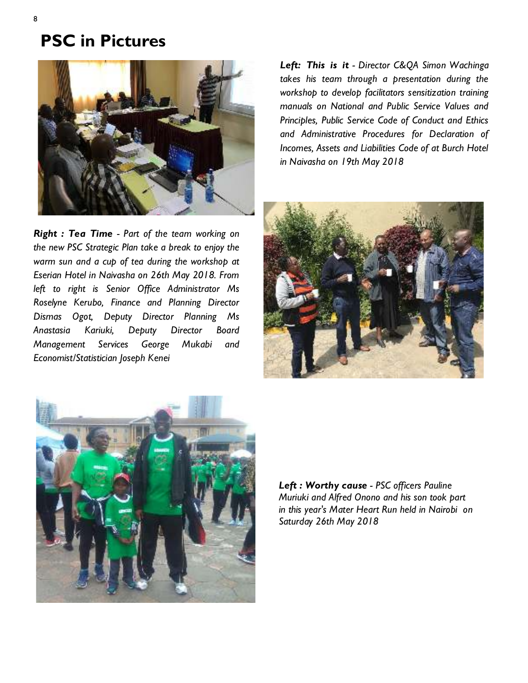# **PSC in Pictures**



*Right : Tea Time - Part of the team working on the new PSC Strategic Plan take a break to enjoy the warm sun and a cup of tea during the workshop at Eserian Hotel in Naivasha on 26th May 2018. From left to right is Senior Office Administrator Ms Roselyne Kerubo, Finance and Planning Director Dismas Ogot, Deputy Director Planning Ms Anastasia Kariuki, Deputy Director Board Management Services George Mukabi and Economist/Statistician Joseph Kenei* 

*Left: This is it - Director C&QA Simon Wachinga takes his team through a presentation during the workshop to develop facilitators sensitization training manuals on National and Public Service Values and Principles, Public Service Code of Conduct and Ethics and Administrative Procedures for Declaration of Incomes, Assets and Liabilities Code of at Burch Hotel in Naivasha on 19th May 2018* 





*Left : Worthy cause - PSC officers Pauline Muriuki and Alfred Onono and his son took part in this year's Mater Heart Run held in Nairobi on Saturday 26th May 2018*